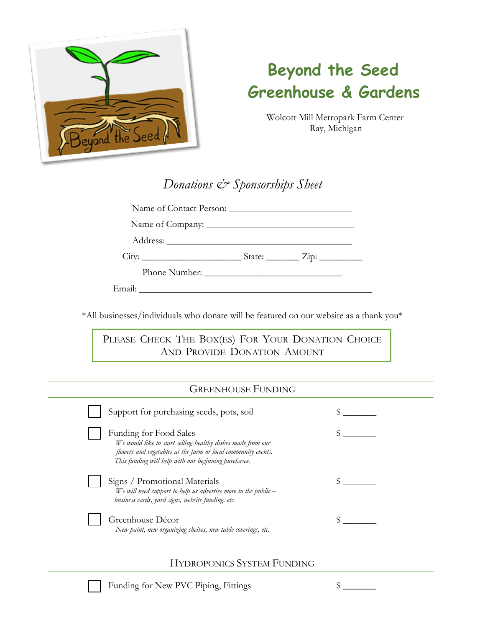

# **Beyond the Seed Greenhouse & Gardens**

Wolcott Mill Metropark Farm Center Ray, Michigan

# *Donations & Sponsorships Sheet*

Name of Contact Person: \_\_\_\_\_\_\_\_\_\_\_\_\_\_\_\_\_\_\_\_\_\_\_\_\_\_

Name of Company: \_\_\_\_\_\_\_\_\_\_\_\_\_\_\_\_\_\_\_\_\_\_\_\_\_\_\_\_\_\_\_

Address:

City: \_\_\_\_\_\_\_\_\_\_\_\_\_\_\_\_\_\_\_\_\_ State: \_\_\_\_\_\_\_ Zip: \_\_\_\_\_\_\_\_\_

Phone Number: \_\_\_\_\_\_\_\_\_\_\_\_\_\_\_\_\_\_\_\_\_\_\_\_\_\_\_\_\_

Email:

\*All businesses/individuals who donate will be featured on our website as a thank you\*

PLEASE CHECK THE BOX(ES) FOR YOUR DONATION CHOICE AND PROVIDE DONATION AMOUNT

# GREENHOUSE FUNDING

| Support for purchasing seeds, pots, soil                                                                                                                                                                       |  |
|----------------------------------------------------------------------------------------------------------------------------------------------------------------------------------------------------------------|--|
| Funding for Food Sales<br>We would like to start selling healthy dishes made from our<br>flowers and vegetables at the farm or local community events.<br>This funding will help with our beginning purchases. |  |
| Signs / Promotional Materials<br>We will need support to help us advertise more to the public $-$<br>business cards, yard signs, website funding, etc.                                                         |  |
| Greenhouse Décor<br>New paint, new organizing shelves, new table coverings, etc.                                                                                                                               |  |

#### HYDROPONICS SYSTEM FUNDING

Funding for New PVC Piping, Fittings  $\quad$  \$